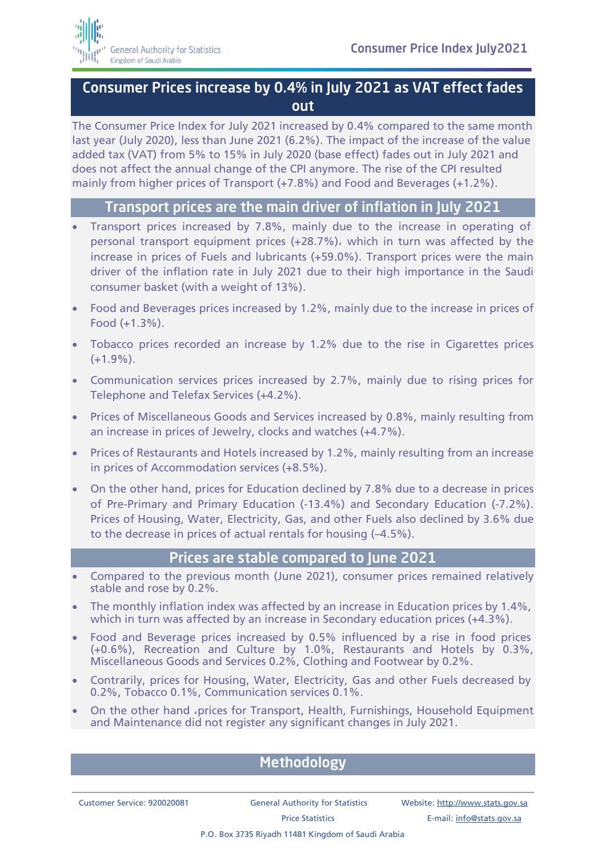## Consumer Prices increase by 0.4% in July 2021 as VAT effect fades out

The Consumer Price Index for July 2021 increased by 0.4% compared to the same month last year (July 2020), less than June 2021 (6.2%). The impact of the increase of the value added tax (VAT) from 5% to 15% in July 2020 (base effect) fades out in July 2021 and does not affect the annual change of the CPI anymore. The rise of the CPI resulted mainly from higher prices of Transport (+7.8%) and Food and Beverages (+1.2%).

## Transport prices are the main driver of inflation in July 2021

- Transport prices increased by 7.8%, mainly due to the increase in operating of personal transport equipment prices (+28.7%), which in turn was affected by the increase in prices of Fuels and lubricants (+59.0%). Transport prices were the main driver of the inflation rate in July 2021 due to their high importance in the Saudi consumer basket (with a weight of 13%).
- Food and Beverages prices increased by 1.2%, mainly due to the increase in prices of Food (+1.3%).
- Tobacco prices recorded an increase by 1.2% due to the rise in Cigarettes prices  $(+1.9\%)$ .
- Communication services prices increased by 2.7%, mainly due to rising prices for Telephone and Telefax Services (+4.2%).
- Prices of Miscellaneous Goods and Services increased by 0.8%, mainly resulting from an increase in prices of Jewelry, clocks and watches (+4.7%).
- Prices of Restaurants and Hotels increased by 1.2%, mainly resulting from an increase in prices of Accommodation services (+8.5%).
- On the other hand, prices for Education declined by 7.8% due to a decrease in prices of Pre-Primary and Primary Education (-13.4%) and Secondary Education (-7.2%). Prices of Housing, Water, Electricity, Gas, and other Fuels also declined by 3.6% due to the decrease in prices of actual rentals for housing (–4.5%).

## Prices are stable compared to June 2021

- Compared to the previous month (June 2021), consumer prices remained relatively stable and rose by 0.2%.
- The monthly inflation index was affected by an increase in Education prices by 1.4%, which in turn was affected by an increase in Secondary education prices (+4.3%).
- Food and Beverage prices increased by 0.5% influenced by a rise in food prices (+0.6%), Recreation and Culture by 1.0%, Restaurants and Hotels by 0.3%, Miscellaneous Goods and Services 0.2%, Clothing and Footwear by 0.2%.
- Contrarily, prices for Housing, Water, Electricity, Gas and other Fuels decreased by 0.2%, Tobacco 0.1%, Communication services 0.1%.
- On the other hand ,prices for Transport, Health, Furnishings, Household Equipment and Maintenance did not register any significant changes in July 2021.

## **Methodology**

Customer Service: 920020081 General Authority for Statistics Website[: http://www.stats.gov.sa](http://www.stats.gov.sa/)

P.O. Box 3735 Riyadh 11481 Kingdom of Saudi Arabia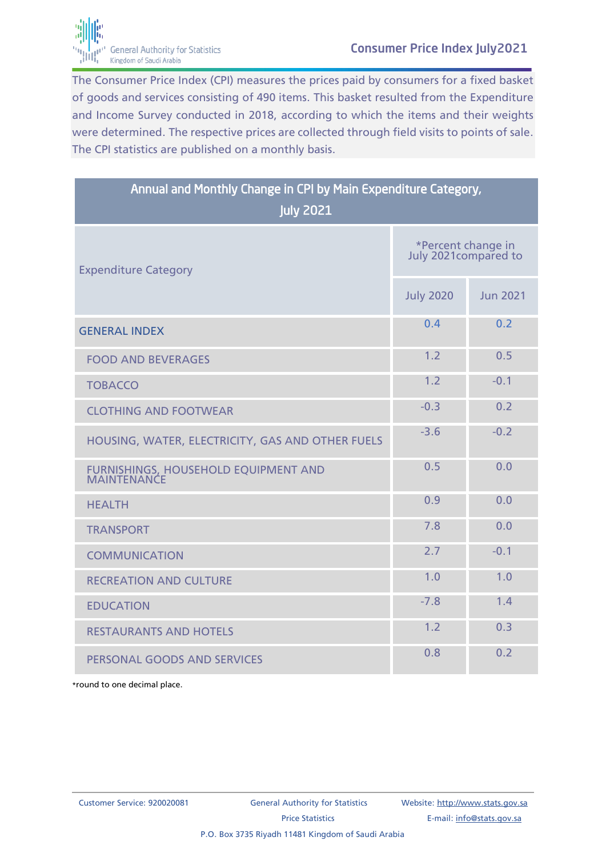

The Consumer Price Index (CPI) measures the prices paid by consumers for a fixed basket of goods and services consisting of 490 items. This basket resulted from the Expenditure and Income Survey conducted in 2018, according to which the items and their weights were determined. The respective prices are collected through field visits to points of sale. The CPI statistics are published on a monthly basis.

| Annual and Monthly Change in CPI by Main Expenditure Category,<br><b>July 2021</b> |                                             |                 |
|------------------------------------------------------------------------------------|---------------------------------------------|-----------------|
| <b>Expenditure Category</b>                                                        | *Percent change in<br>July 2021 compared to |                 |
|                                                                                    | <b>July 2020</b>                            | <b>Jun 2021</b> |
| <b>GENERAL INDEX</b>                                                               | 0.4                                         | 0.2             |
| <b>FOOD AND BEVERAGES</b>                                                          | 1.2                                         | 0.5             |
| <b>TOBACCO</b>                                                                     | 1.2                                         | $-0.1$          |
| <b>CLOTHING AND FOOTWEAR</b>                                                       | $-0.3$                                      | 0.2             |
| HOUSING, WATER, ELECTRICITY, GAS AND OTHER FUELS                                   | $-3.6$                                      | $-0.2$          |
| FURNISHINGS, HOUSEHOLD EQUIPMENT AND<br><b>MAINTENANCE</b>                         | 0.5                                         | 0.0             |
| <b>HEALTH</b>                                                                      | 0.9                                         | 0.0             |
| <b>TRANSPORT</b>                                                                   | 7.8                                         | 0.0             |
| <b>COMMUNICATION</b>                                                               | 2.7                                         | $-0.1$          |
| <b>RECREATION AND CULTURE</b>                                                      | 1.0                                         | 1.0             |
| <b>EDUCATION</b>                                                                   | $-7.8$                                      | 1.4             |
| <b>RESTAURANTS AND HOTELS</b>                                                      | 1.2                                         | 0.3             |
| PERSONAL GOODS AND SERVICES                                                        | 0.8                                         | 0.2             |

\*round to one decimal place.